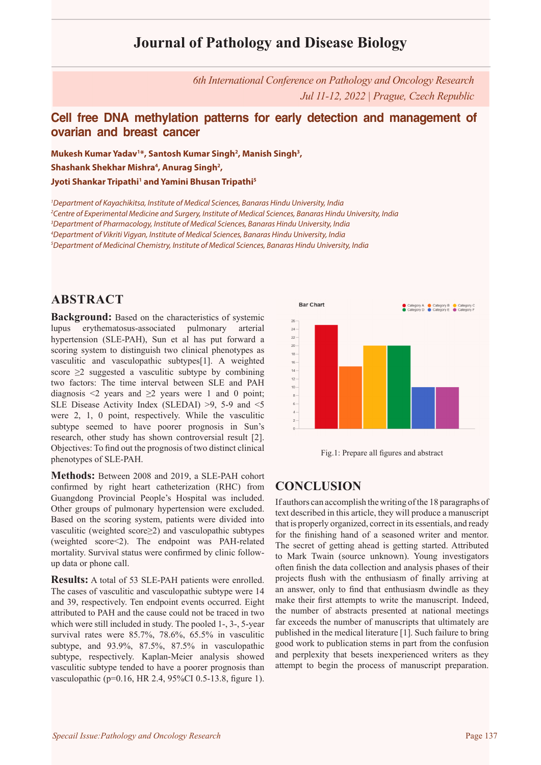# **Journal of Pathology and Disease Biology**

*6th International Conference on Pathology and Oncology Research Jul 11-12, 2022 | Prague, Czech Republic*

### **Cell free DNA methylation patterns for early detection and management of ovarian and breast cancer**

**Mukesh Kumar Yadav1 \*, Santosh Kumar Singh2 , Manish Singh3 ,**  Shashank Shekhar Mishra<sup>4</sup>, Anurag Singh<sup>2</sup>, **Jyoti Shankar Tripathi1 and Yamini Bhusan Tripathi5**

 *Department of Kayachikitsa, Institute of Medical Sciences, Banaras Hindu University, India Centre of Experimental Medicine and Surgery, Institute of Medical Sciences, Banaras Hindu University, India Department of Pharmacology, Institute of Medical Sciences, Banaras Hindu University, India Department of Vikriti Vigyan, Institute of Medical Sciences, Banaras Hindu University, India Department of Medicinal Chemistry, Institute of Medical Sciences, Banaras Hindu University, India*

### **ABSTRACT**

**Background:** Based on the characteristics of systemic lupus erythematosus-associated pulmonary arterial hypertension (SLE-PAH), Sun et al has put forward a scoring system to distinguish two clinical phenotypes as vasculitic and vasculopathic subtypes[1]. A weighted score  $\geq$ 2 suggested a vasculitic subtype by combining two factors: The time interval between SLE and PAH diagnosis  $\leq 2$  years and  $\geq 2$  years were 1 and 0 point; SLE Disease Activity Index (SLEDAI) >9, 5-9 and <5 were 2, 1, 0 point, respectively. While the vasculitic subtype seemed to have poorer prognosis in Sun's research, other study has shown controversial result [2]. Objectives: To find out the prognosis of two distinct clinical phenotypes of SLE-PAH.

**Methods:** Between 2008 and 2019, a SLE-PAH cohort confirmed by right heart catheterization (RHC) from Guangdong Provincial People's Hospital was included. Other groups of pulmonary hypertension were excluded. Based on the scoring system, patients were divided into vasculitic (weighted score≥2) and vasculopathic subtypes (weighted score<2). The endpoint was PAH-related mortality. Survival status were confirmed by clinic followup data or phone call.

**Results:** A total of 53 SLE-PAH patients were enrolled. The cases of vasculitic and vasculopathic subtype were 14 and 39, respectively. Ten endpoint events occurred. Eight attributed to PAH and the cause could not be traced in two which were still included in study. The pooled 1-, 3-, 5-year survival rates were 85.7%, 78.6%, 65.5% in vasculitic subtype, and 93.9%, 87.5%, 87.5% in vasculopathic subtype, respectively. Kaplan-Meier analysis showed vasculitic subtype tended to have a poorer prognosis than vasculopathic (p=0.16, HR 2.4, 95%CI 0.5-13.8, figure 1).





### **CONCLUSION**

If authors can accomplish the writing of the 18 paragraphs of text described in this article, they will produce a manuscript that is properly organized, correct in its essentials, and ready for the finishing hand of a seasoned writer and mentor. The secret of getting ahead is getting started. Attributed to Mark Twain (source unknown). Young investigators often finish the data collection and analysis phases of their projects flush with the enthusiasm of finally arriving at an answer, only to find that enthusiasm dwindle as they make their first attempts to write the manuscript. Indeed, the number of abstracts presented at national meetings far exceeds the number of manuscripts that ultimately are published in the medical literature [1]. Such failure to bring good work to publication stems in part from the confusion and perplexity that besets inexperienced writers as they attempt to begin the process of manuscript preparation.